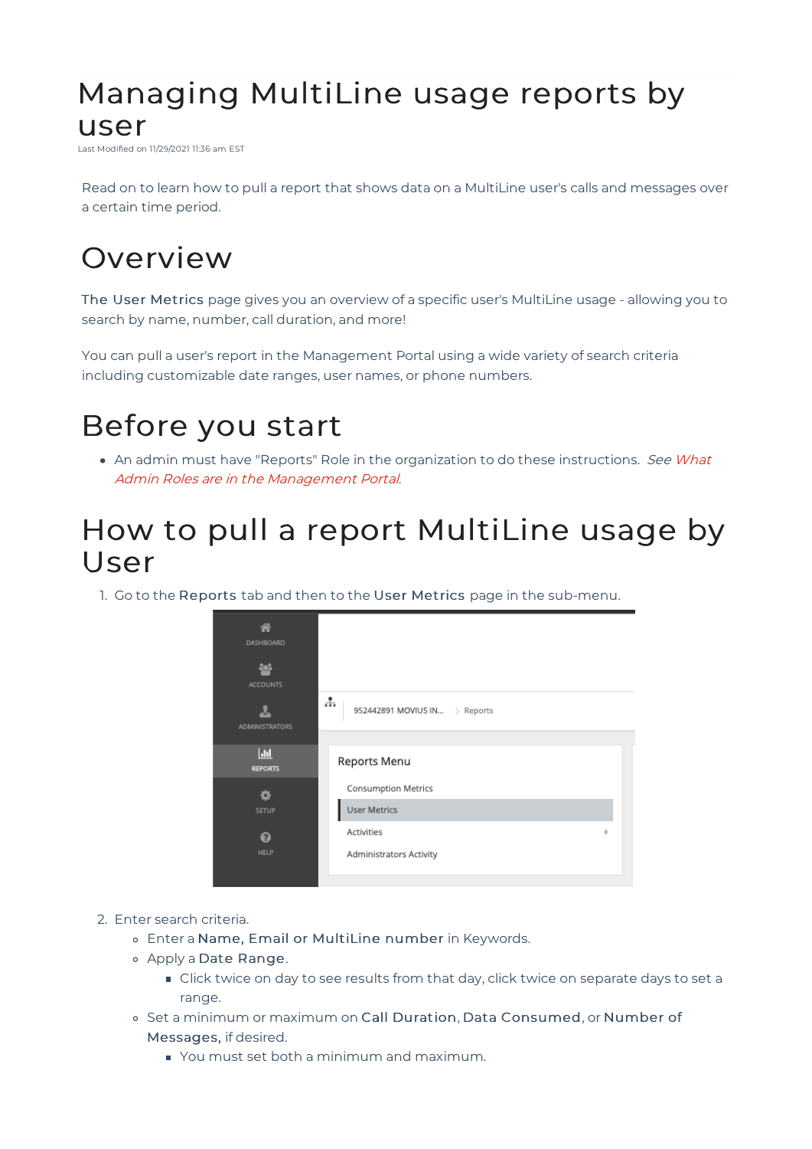### Managing MultiLine usage reports by user

Last Modified on 11/29/2021 11:36 am EST

Read on to learn how to pull a report that shows data on a MultiLine user's calls and messages over a certain time period.

# **Overview**

The User Metrics page gives you an overview of a specific user's MultiLine usage - allowing you to search by name, number, call duration, and more!

You can pull a user's report in the Management Portal using a wide variety of search criteria including customizable date ranges, user names, or phone numbers.

## Before you start

• An admin must have "Reports" Role in the organization to do these instructions. See What Admin Roles are in the Management Portal.

### How to pull a report MultiLine usage by User

1. Go to the Reports tab and then to the User Metrics page in the sub-menu.



- 2. Enter search criteria.
	- Enter a Name, Email or MultiLine number in Keywords.
	- Apply a Date Range.
		- **Click twice on day to see results from that day, click twice on separate days to set a** range.
	- o Set a minimum or maximum on Call Duration, Data Consumed, or Number of Messages, if desired.
		- You must set both a minimum and maximum.